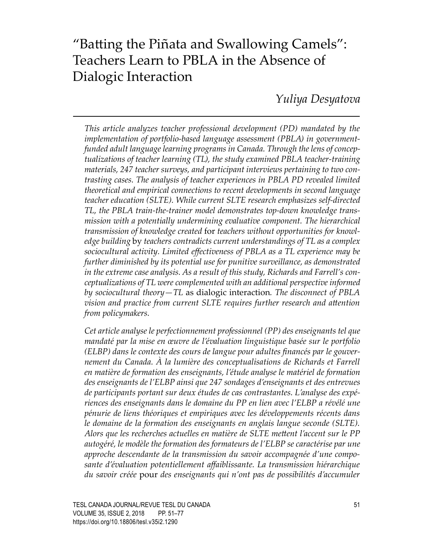# "Batting the Piñata and Swallowing Camels": Teachers Learn to PBLA in the Absence of Dialogic Interaction

 *Yuliya Desyatova*

*This article analyzes teacher professional development (PD) mandated by the implementation of portfolio-based language assessment (PBLA) in governmentfunded adult language learning programs in Canada. Through the lens of conceptualizations of teacher learning (TL), the study examined PBLA teacher-training materials, 247 teacher surveys, and participant interviews pertaining to two contrasting cases. The analysis of teacher experiences in PBLA PD revealed limited theoretical and empirical connections to recent developments in second language teacher education (SLTE). While current SLTE research emphasizes self-directed TL, the PBLA train-the-trainer model demonstrates top-down knowledge transmission with a potentially undermining evaluative component. The hierarchical transmission of knowledge created* for *teachers without opportunities for knowledge building* by *teachers contradicts current understandings of TL as a complex sociocultural activity. Limited effectiveness of PBLA as a TL experience may be further diminished by its potential use for punitive surveillance, as demonstrated in the extreme case analysis. As a result of this study, Richards and Farrell's conceptualizations of TL were complemented with an additional perspective informed by sociocultural theory—TL* as dialogic interaction*. The disconnect of PBLA vision and practice from current SLTE requires further research and attention from policymakers.*

*Cet article analyse le perfectionnement professionnel (PP) des enseignants tel que mandaté par la mise en œuvre de l'évaluation linguistique basée sur le portfolio*  (ELBP) dans le contexte des cours de langue pour adultes financés par le gouver*nement du Canada. À la lumière des conceptualisations de Richards et Farrell en matière de formation des enseignants, l'étude analyse le matériel de formation des enseignants de l'ELBP ainsi que 247 sondages d'enseignants et des entrevues de participants portant sur deux études de cas contrastantes. L'analyse des expériences des enseignants dans le domaine du PP en lien avec l'ELBP a révélé une pénurie de liens théoriques et empiriques avec les développements récents dans le domaine de la formation des enseignants en anglais langue seconde (SLTE). Alors que les recherches actuelles en matière de SLTE mettent l'accent sur le PP autogéré, le modèle the formation des formateurs de l'ELBP se caractérise par une approche descendante de la transmission du savoir accompagnée d'une composante d'évaluation potentiellement aff aiblissante. La transmission hiérarchique du savoir créée* pour *des enseignants qui n'ont pas de possibilités d'accumuler*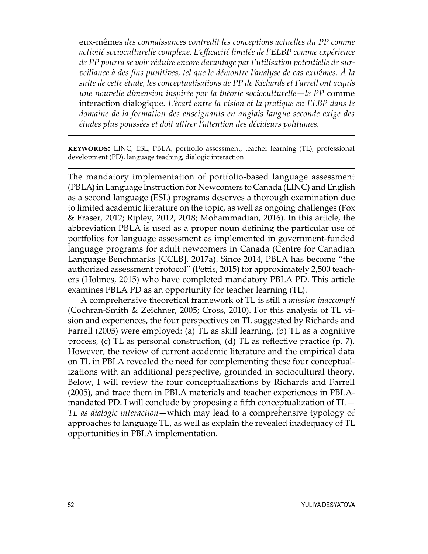eux-mêmes *des connaissances contredit les conceptions actuelles du PP comme activité socioculturelle complexe. L'effi cacité limitée de l'ELBP comme expérience de PP pourra se voir réduire encore davantage par l'utilisation potentielle de surveillance à des fins punitives, tel que le démontre l'analyse de cas extrêmes. À la suite de cette étude, les conceptualisations de PP de Richards et Farrell ont acquis une nouvelle dimension inspirée par la théorie socioculturelle—le PP* comme interaction dialogique*. L'écart entre la vision et la pratique en ELBP dans le domaine de la formation des enseignants en anglais langue seconde exige des études plus poussées et doit attirer l'attention des décideurs politiques.* 

**KEYWORDS:** LINC, ESL, PBLA, portfolio assessment, teacher learning (TL), professional development (PD), language teaching, dialogic interaction

The mandatory implementation of portfolio-based language assessment (PBLA) in Language Instruction for Newcomers to Canada (LINC) and English as a second language (ESL) programs deserves a thorough examination due to limited academic literature on the topic, as well as ongoing challenges (Fox & Fraser, 2012; Ripley, 2012, 2018; Mohammadian, 2016). In this article, the abbreviation PBLA is used as a proper noun defining the particular use of portfolios for language assessment as implemented in government-funded language programs for adult newcomers in Canada (Centre for Canadian Language Benchmarks [CCLB], 2017a). Since 2014, PBLA has become "the authorized assessment protocol" (Pettis, 2015) for approximately 2,500 teachers (Holmes, 2015) who have completed mandatory PBLA PD. This article examines PBLA PD as an opportunity for teacher learning (TL).

A comprehensive theoretical framework of TL is still a *mission inaccompli*  (Cochran-Smith & Zeichner, 2005; Cross, 2010). For this analysis of TL vision and experiences, the four perspectives on TL suggested by Richards and Farrell (2005) were employed: (a) TL as skill learning, (b) TL as a cognitive process, (c) TL as personal construction, (d) TL as reflective practice (p. 7). However, the review of current academic literature and the empirical data on TL in PBLA revealed the need for complementing these four conceptualizations with an additional perspective, grounded in sociocultural theory. Below, I will review the four conceptualizations by Richards and Farrell (2005), and trace them in PBLA materials and teacher experiences in PBLAmandated PD. I will conclude by proposing a fifth conceptualization of  $TL-$ *TL as dialogic interaction*—which may lead to a comprehensive typology of approaches to language TL, as well as explain the revealed inadequacy of TL opportunities in PBLA implementation.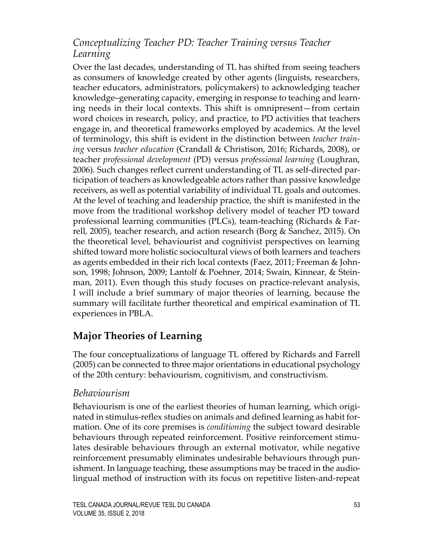### *Conceptualizing Teacher PD: Teacher Training versus Teacher Learning*

Over the last decades, understanding of TL has shifted from seeing teachers as consumers of knowledge created by other agents (linguists, researchers, teacher educators, administrators, policymakers) to acknowledging teacher knowledge–generating capacity, emerging in response to teaching and learning needs in their local contexts. This shift is omnipresent—from certain word choices in research, policy, and practice, to PD activities that teachers engage in, and theoretical frameworks employed by academics. At the level of terminology, this shift is evident in the distinction between *teacher training* versus *teacher education* (Crandall & Christison, 2016; Richards, 2008), or teacher *professional development* (PD) versus *professional learning* (Loughran, 2006). Such changes reflect current understanding of TL as self-directed participation of teachers as knowledgeable actors rather than passive knowledge receivers, as well as potential variability of individual TL goals and outcomes. At the level of teaching and leadership practice, the shift is manifested in the move from the traditional workshop delivery model of teacher PD toward professional learning communities (PLCs), team-teaching (Richards & Farrell, 2005), teacher research, and action research (Borg & Sanchez, 2015). On the theoretical level, behaviourist and cognitivist perspectives on learning shifted toward more holistic sociocultural views of both learners and teachers as agents embedded in their rich local contexts (Faez, 2011; Freeman & Johnson, 1998; Johnson, 2009; Lantolf & Poehner, 2014; Swain, Kinnear, & Steinman, 2011). Even though this study focuses on practice-relevant analysis, I will include a brief summary of major theories of learning, because the summary will facilitate further theoretical and empirical examination of TL experiences in PBLA.

## **Major Theories of Learning**

The four conceptualizations of language TL offered by Richards and Farrell (2005) can be connected to three major orientations in educational psychology of the 20th century: behaviourism, cognitivism, and constructivism.

### *Behaviourism*

Behaviourism is one of the earliest theories of human learning, which originated in stimulus-reflex studies on animals and defined learning as habit formation. One of its core premises is *conditioning* the subject toward desirable behaviours through repeated reinforcement. Positive reinforcement stimulates desirable behaviours through an external motivator, while negative reinforcement presumably eliminates undesirable behaviours through punishment. In language teaching, these assumptions may be traced in the audiolingual method of instruction with its focus on repetitive listen-and-repeat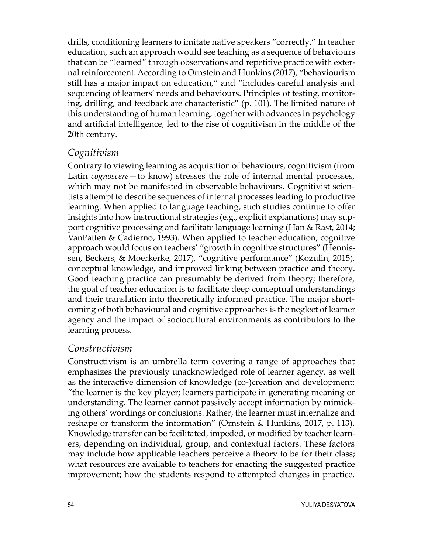drills, conditioning learners to imitate native speakers "correctly." In teacher education, such an approach would see teaching as a sequence of behaviours that can be "learned" through observations and repetitive practice with external reinforcement. According to Ornstein and Hunkins (2017), "behaviourism still has a major impact on education," and "includes careful analysis and sequencing of learners' needs and behaviours. Principles of testing, monitoring, drilling, and feedback are characteristic" (p. 101). The limited nature of this understanding of human learning, together with advances in psychology and artificial intelligence, led to the rise of cognitivism in the middle of the 20th century.

#### *Cognitivism*

Contrary to viewing learning as acquisition of behaviours, cognitivism (from Latin *cognoscere*—to know) stresses the role of internal mental processes, which may not be manifested in observable behaviours. Cognitivist scientists attempt to describe sequences of internal processes leading to productive learning. When applied to language teaching, such studies continue to offer insights into how instructional strategies (e.g., explicit explanations) may support cognitive processing and facilitate language learning (Han & Rast, 2014; VanPatten & Cadierno, 1993). When applied to teacher education, cognitive approach would focus on teachers' "growth in cognitive structures" (Hennissen, Beckers, & Moerkerke, 2017), "cognitive performance" (Kozulin, 2015), conceptual knowledge, and improved linking between practice and theory. Good teaching practice can presumably be derived from theory; therefore, the goal of teacher education is to facilitate deep conceptual understandings and their translation into theoretically informed practice. The major shortcoming of both behavioural and cognitive approaches is the neglect of learner agency and the impact of sociocultural environments as contributors to the learning process.

#### *Constructivism*

Constructivism is an umbrella term covering a range of approaches that emphasizes the previously unacknowledged role of learner agency, as well as the interactive dimension of knowledge (co-)creation and development: "the learner is the key player; learners participate in generating meaning or understanding. The learner cannot passively accept information by mimicking others' wordings or conclusions. Rather, the learner must internalize and reshape or transform the information" (Ornstein & Hunkins, 2017, p. 113). Knowledge transfer can be facilitated, impeded, or modified by teacher learners, depending on individual, group, and contextual factors. These factors may include how applicable teachers perceive a theory to be for their class; what resources are available to teachers for enacting the suggested practice improvement; how the students respond to attempted changes in practice.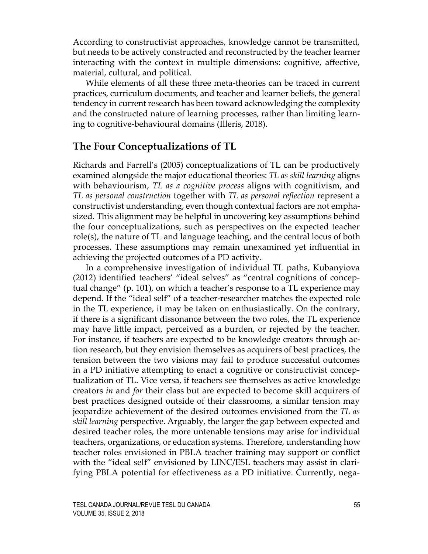According to constructivist approaches, knowledge cannot be transmitted, but needs to be actively constructed and reconstructed by the teacher learner interacting with the context in multiple dimensions: cognitive, affective, material, cultural, and political.

While elements of all these three meta-theories can be traced in current practices, curriculum documents, and teacher and learner beliefs, the general tendency in current research has been toward acknowledging the complexity and the constructed nature of learning processes, rather than limiting learning to cognitive-behavioural domains (Illeris, 2018).

### **The Four Conceptualizations of TL**

Richards and Farrell's (2005) conceptualizations of TL can be productively examined alongside the major educational theories: *TL as skill learning* aligns with behaviourism, *TL as a cognitive process* aligns with cognitivism, and *TL as personal construction* together with *TL as personal reflection* represent a constructivist understanding, even though contextual factors are not emphasized. This alignment may be helpful in uncovering key assumptions behind the four conceptualizations, such as perspectives on the expected teacher role(s), the nature of TL and language teaching, and the central locus of both processes. These assumptions may remain unexamined yet influential in achieving the projected outcomes of a PD activity.

In a comprehensive investigation of individual TL paths, Kubanyiova (2012) identified teachers' "ideal selves" as "central cognitions of conceptual change" (p. 101), on which a teacher's response to a TL experience may depend. If the "ideal self" of a teacher-researcher matches the expected role in the TL experience, it may be taken on enthusiastically. On the contrary, if there is a significant dissonance between the two roles, the TL experience may have little impact, perceived as a burden, or rejected by the teacher. For instance, if teachers are expected to be knowledge creators through action research, but they envision themselves as acquirers of best practices, the tension between the two visions may fail to produce successful outcomes in a PD initiative attempting to enact a cognitive or constructivist conceptualization of TL. Vice versa, if teachers see themselves as active knowledge creators *in* and *for* their class but are expected to become skill acquirers of best practices designed outside of their classrooms, a similar tension may jeopardize achievement of the desired outcomes envisioned from the *TL as skill learning* perspective. Arguably, the larger the gap between expected and desired teacher roles, the more untenable tensions may arise for individual teachers, organizations, or education systems. Therefore, understanding how teacher roles envisioned in PBLA teacher training may support or conflict with the "ideal self" envisioned by LINC/ESL teachers may assist in clarifying PBLA potential for effectiveness as a PD initiative. Currently, nega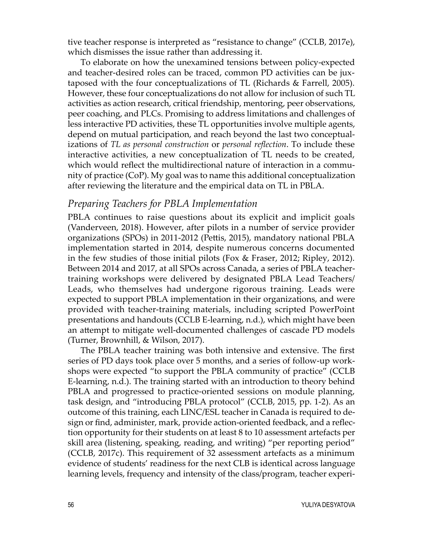tive teacher response is interpreted as "resistance to change" (CCLB, 2017e), which dismisses the issue rather than addressing it.

To elaborate on how the unexamined tensions between policy-expected and teacher-desired roles can be traced, common PD activities can be juxtaposed with the four conceptualizations of TL (Richards & Farrell, 2005). However, these four conceptualizations do not allow for inclusion of such TL activities as action research, critical friendship, mentoring, peer observations, peer coaching, and PLCs. Promising to address limitations and challenges of less interactive PD activities, these TL opportunities involve multiple agents, depend on mutual participation, and reach beyond the last two conceptualizations of *TL* as *personal construction* or *personal reflection*. To include these interactive activities, a new conceptualization of TL needs to be created, which would reflect the multidirectional nature of interaction in a community of practice (CoP). My goal was to name this additional conceptualization after reviewing the literature and the empirical data on TL in PBLA.

#### *Preparing Teachers for PBLA Implementation*

PBLA continues to raise questions about its explicit and implicit goals (Vanderveen, 2018). However, after pilots in a number of service provider organizations (SPOs) in 2011-2012 (Pettis, 2015), mandatory national PBLA implementation started in 2014, despite numerous concerns documented in the few studies of those initial pilots (Fox & Fraser, 2012; Ripley, 2012). Between 2014 and 2017, at all SPOs across Canada, a series of PBLA teachertraining workshops were delivered by designated PBLA Lead Teachers/ Leads, who themselves had undergone rigorous training. Leads were expected to support PBLA implementation in their organizations, and were provided with teacher-training materials, including scripted PowerPoint presentations and handouts (CCLB E-learning, n.d.), which might have been an attempt to mitigate well-documented challenges of cascade PD models (Turner, Brownhill, & Wilson, 2017).

The PBLA teacher training was both intensive and extensive. The first series of PD days took place over 5 months, and a series of follow-up workshops were expected "to support the PBLA community of practice" (CCLB E-learning, n.d.). The training started with an introduction to theory behind PBLA and progressed to practice-oriented sessions on module planning, task design, and "introducing PBLA protocol" (CCLB, 2015, pp. 1-2). As an outcome of this training, each LINC/ESL teacher in Canada is required to design or find, administer, mark, provide action-oriented feedback, and a reflection opportunity for their students on at least 8 to 10 assessment artefacts per skill area (listening, speaking, reading, and writing) "per reporting period" (CCLB, 2017c). This requirement of 32 assessment artefacts as a minimum evidence of students' readiness for the next CLB is identical across language learning levels, frequency and intensity of the class/program, teacher experi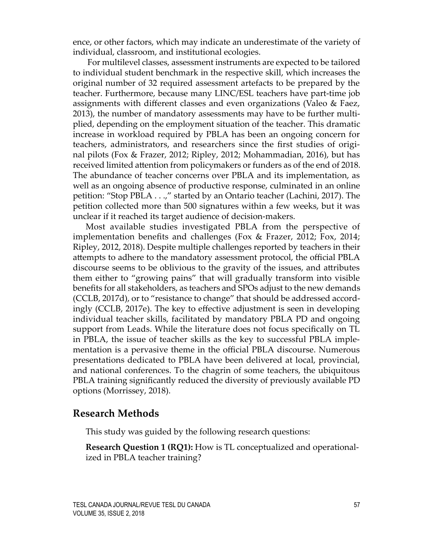ence, or other factors, which may indicate an underestimate of the variety of individual, classroom, and institutional ecologies.

 For multilevel classes, assessment instruments are expected to be tailored to individual student benchmark in the respective skill, which increases the original number of 32 required assessment artefacts to be prepared by the teacher. Furthermore, because many LINC/ESL teachers have part-time job assignments with different classes and even organizations (Valeo & Faez, 2013), the number of mandatory assessments may have to be further multiplied, depending on the employment situation of the teacher. This dramatic increase in workload required by PBLA has been an ongoing concern for teachers, administrators, and researchers since the first studies of original pilots (Fox & Frazer, 2012; Ripley, 2012; Mohammadian, 2016), but has received limited attention from policymakers or funders as of the end of 2018. The abundance of teacher concerns over PBLA and its implementation, as well as an ongoing absence of productive response, culminated in an online petition: "Stop PBLA . . .," started by an Ontario teacher (Lachini, 2017). The petition collected more than 500 signatures within a few weeks, but it was unclear if it reached its target audience of decision-makers.

Most available studies investigated PBLA from the perspective of implementation benefits and challenges (Fox  $\&$  Frazer, 2012; Fox, 2014; Ripley, 2012, 2018). Despite multiple challenges reported by teachers in their attempts to adhere to the mandatory assessment protocol, the official PBLA discourse seems to be oblivious to the gravity of the issues, and attributes them either to "growing pains" that will gradually transform into visible benefits for all stakeholders, as teachers and SPOs adjust to the new demands (CCLB, 2017d), or to "resistance to change" that should be addressed accordingly (CCLB, 2017e). The key to effective adjustment is seen in developing individual teacher skills, facilitated by mandatory PBLA PD and ongoing support from Leads. While the literature does not focus specifically on TL in PBLA, the issue of teacher skills as the key to successful PBLA implementation is a pervasive theme in the official PBLA discourse. Numerous presentations dedicated to PBLA have been delivered at local, provincial, and national conferences. To the chagrin of some teachers, the ubiquitous PBLA training significantly reduced the diversity of previously available PD options ( Morrissey, 2018).

#### **Research Methods**

This study was guided by the following research questions:

**Research Question 1 (RQ1):** How is TL conceptualized and operationalized in PBLA teacher training?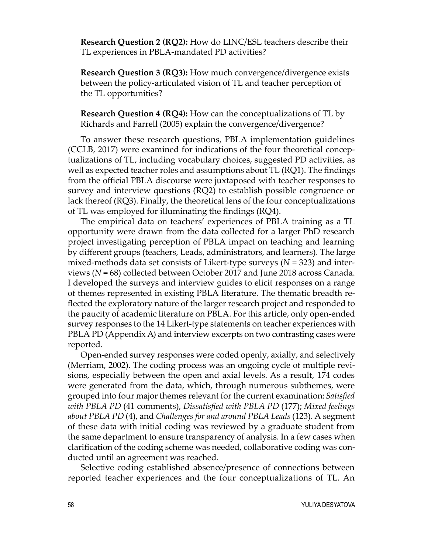**Research Question 2 (RQ2):** How do LINC/ESL teachers describe their TL experiences in PBLA-mandated PD activities?

**Research Question 3 (RQ3):** How much convergence/divergence exists between the policy-articulated vision of TL and teacher perception of the TL opportunities?

**Research Question 4 (RQ4):** How can the conceptualizations of TL by Richards and Farrell (2005) explain the convergence/divergence?

To answer these research questions, PBLA implementation guidelines (CCLB, 2017) were examined for indications of the four theoretical conceptualizations of TL, including vocabulary choices, suggested PD activities, as well as expected teacher roles and assumptions about TL  $(RQ1)$ . The findings from the official PBLA discourse were juxtaposed with teacher responses to survey and interview questions (RQ2) to establish possible congruence or lack thereof (RQ3). Finally, the theoretical lens of the four conceptualizations of TL was employed for illuminating the findings (RQ4).

The empirical data on teachers' experiences of PBLA training as a TL opportunity were drawn from the data collected for a larger PhD research project investigating perception of PBLA impact on teaching and learning by different groups (teachers, Leads, administrators, and learners). The large mixed-methods data set consists of Likert-type surveys (*N* = 323) and interviews (*N* = 68) collected between October 2017 and June 2018 across Canada. I developed the surveys and interview guides to elicit responses on a range of themes represented in existing PBLA literature. The thematic breadth reflected the exploratory nature of the larger research project and responded to the paucity of academic literature on PBLA. For this article, only open-ended survey responses to the 14 Likert-type statements on teacher experiences with PBLA PD (Appendix A) and interview excerpts on two contrasting cases were reported.

Open-ended survey responses were coded openly, axially, and selectively (Merriam, 2002). The coding process was an ongoing cycle of multiple revisions, especially between the open and axial levels. As a result, 174 codes were generated from the data, which, through numerous subthemes, were grouped into four major themes relevant for the current examination: *Satisfi ed with PBLA PD* (41 comments), *Dissatisfied with PBLA PD* (177); *Mixed feelings about PBLA PD* (4), and *Challenges for and around PBLA Leads* (123). A segment of these data with initial coding was reviewed by a graduate student from the same department to ensure transparency of analysis. In a few cases when clarifi cation of the coding scheme was needed, collaborative coding was conducted until an agreement was reached.

Selective coding established absence/presence of connections between reported teacher experiences and the four conceptualizations of TL. An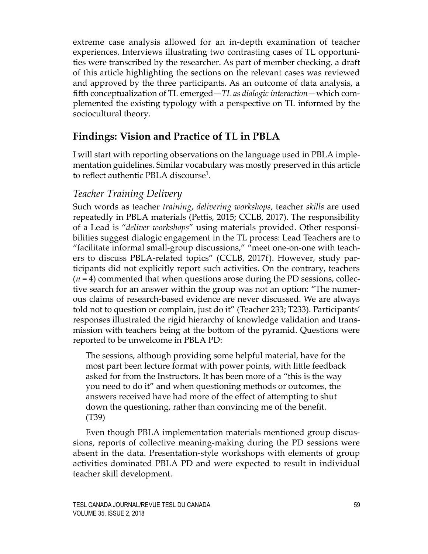extreme case analysis allowed for an in-depth examination of teacher experiences. Interviews illustrating two contrasting cases of TL opportunities were transcribed by the researcher. As part of member checking, a draft of this article highlighting the sections on the relevant cases was reviewed and approved by the three participants. As an outcome of data analysis, a fi fth conceptualization of TL emerged—*TL as dialogic interaction*—which complemented the existing typology with a perspective on TL informed by the sociocultural theory.

## **Findings: Vision and Practice of TL in PBLA**

I will start with reporting observations on the language used in PBLA implementation guidelines. Similar vocabulary was mostly preserved in this article to reflect authentic PBLA discourse<sup>1</sup>.

## *Teacher Training Delivery*

Such words as teacher *training*, *delivering workshops*, teacher *skills* are used repeatedly in PBLA materials (Pettis, 2015; CCLB, 2017). The responsibility of a Lead is "*deliver workshops*" using materials provided. Other responsibilities suggest dialogic engagement in the TL process: Lead Teachers are to " facilitate informal small-group discussions," "meet one-on-one with teachers to discuss PBLA-related topics" (CCLB, 2017f). However, study participants did not explicitly report such activities. On the contrary, teachers (*n* = 4) commented that when questions arose during the PD sessions, collective search for an answer within the group was not an option: "The numerous claims of research-based evidence are never discussed. We are always told not to question or complain, just do it" (Teacher 233; T233). Participants' responses illustrated the rigid hierarchy of knowledge validation and transmission with teachers being at the bottom of the pyramid. Questions were reported to be unwelcome in PBLA PD:

The sessions, although providing some helpful material, have for the most part been lecture format with power points, with little feedback asked for from the Instructors. It has been more of a "this is the way you need to do it" and when questioning methods or outcomes, the answers received have had more of the effect of attempting to shut down the questioning, rather than convincing me of the benefit. (T39)

Even though PBLA implementation materials mentioned group discussions, reports of collective meaning-making during the PD sessions were absent in the data. Presentation-style workshops with elements of group activities dominated PBLA PD and were expected to result in individual teacher skill development.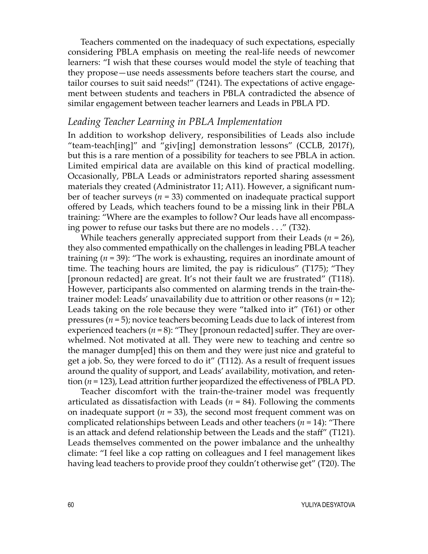Teachers commented on the inadequacy of such expectations, especially considering PBLA emphasis on meeting the real-life needs of newcomer learners: "I wish that these courses would model the style of teaching that they propose—use needs assessments before teachers start the course, and tailor courses to suit said needs!" (T241). The expectations of active engagement between students and teachers in PBLA contradicted the absence of similar engagement between teacher learners and Leads in PBLA PD.

#### *Leading Teacher Learning in PBLA Implementation*

In addition to workshop delivery, responsibilities of Leads also include "team-teach[ing]" and "giv[ing] demonstration lessons" (CCLB, 2017f), but this is a rare mention of a possibility for teachers to see PBLA in action. Limited empirical data are available on this kind of practical modelling. Occasionally, PBLA Leads or administrators reported sharing assessment materials they created (Administrator 11; A11). However, a significant number of teacher surveys (*n* = 33) commented on inadequate practical support offered by Leads, which teachers found to be a missing link in their PBLA training: "Where are the examples to follow? Our leads have all encompassing power to refuse our tasks but there are no models . . ." (T32).

While teachers generally appreciated support from their Leads (*n* = 26), they also commented empathically on the challenges in leading PBLA teacher training (*n* = 39): "The work is exhausting, requires an inordinate amount of time. The teaching hours are limited, the pay is ridiculous" (T175); "They [pronoun redacted] are great. It's not their fault we are frustrated" (T118). However, participants also commented on alarming trends in the train-thetrainer model: Leads' unavailability due to attrition or other reasons  $(n = 12)$ ; Leads taking on the role because they were "talked into it" (T61) or other pressures (*n* = 5); novice teachers becoming Leads due to lack of interest from experienced teachers  $(n = 8)$ : "They [pronoun redacted] suffer. They are overwhelmed. Not motivated at all. They were new to teaching and centre so the manager dump[ed] this on them and they were just nice and grateful to get a job. So, they were forced to do it" (T112). As a result of frequent issues around the quality of support, and Leads' availability, motivation, and retention  $(n = 123)$ , Lead attrition further jeopardized the effectiveness of PBLA PD.

Teacher discomfort with the train-the-trainer model was frequently articulated as dissatisfaction with Leads (*n* = 84). Following the comments on inadequate support  $(n = 33)$ , the second most frequent comment was on complicated relationships between Leads and other teachers (*n* = 14): "There is an attack and defend relationship between the Leads and the staff"  $(T121)$ . Leads themselves commented on the power imbalance and the unhealthy climate: "I feel like a cop ratting on colleagues and I feel management likes having lead teachers to provide proof they couldn't otherwise get" (T20). The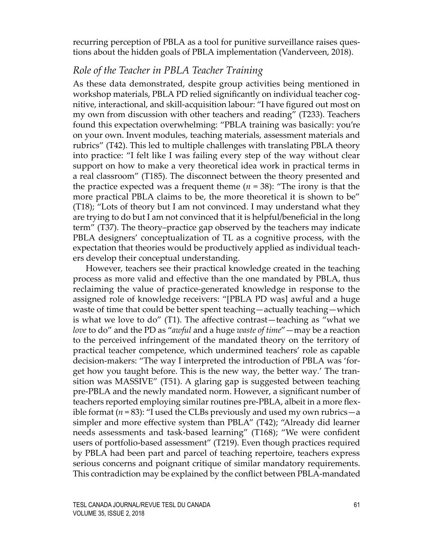recurring perception of PBLA as a tool for punitive surveillance raises questions about the hidden goals of PBLA implementation (Vanderveen, 2018).

### *Role of the Teacher in PBLA Teacher Training*

As these data demonstrated, despite group activities being mentioned in workshop materials, PBLA PD relied significantly on individual teacher cognitive, interactional, and skill-acquisition labour: "I have figured out most on my own from discussion with other teachers and reading" (T233). Teachers found this expectation overwhelming: "PBLA training was basically: you're on your own. Invent modules, teaching materials, assessment materials and rubrics" (T42). This led to multiple challenges with translating PBLA theory into practice: "I felt like I was failing every step of the way without clear support on how to make a very theoretical idea work in practical terms in a real classroom" (T185). The disconnect between the theory presented and the practice expected was a frequent theme  $(n = 38)$ : "The irony is that the more practical PBLA claims to be, the more theoretical it is shown to be" (T18); "Lots of theory but I am not convinced. I may understand what they are trying to do but I am not convinced that it is helpful/beneficial in the long term" (T37). The theory–practice gap observed by the teachers may indicate PBLA designers' conceptualization of TL as a cognitive process, with the expectation that theories would be productively applied as individual teachers develop their conceptual understanding.

However, teachers see their practical knowledge created in the teaching process as more valid and effective than the one mandated by PBLA, thus reclaiming the value of practice-generated knowledge in response to the assigned role of knowledge receivers: "[PBLA PD was] awful and a huge waste of time that could be better spent teaching—actually teaching—which is what we love to do" (T1). The affective contrast—teaching as "what we *love* to do" and the PD as "*awful* and a huge *waste of time*"—may be a reaction to the perceived infringement of the mandated theory on the territory of practical teacher competence, which undermined teachers' role as capable decision-makers: "The way I interpreted the introduction of PBLA was 'forget how you taught before. This is the new way, the better way.' The transition was MASSIVE" (T51). A glaring gap is suggested between teaching pre-PBLA and the newly mandated norm. However, a significant number of teachers reported employing similar routines pre-PBLA, albeit in a more flexible format ( $n = 83$ ): "I used the CLBs previously and used my own rubrics—a simpler and more effective system than PBLA" (T42); "Already did learner needs assessments and task-based learning" (T168); "We were confident users of portfolio-based assessment" (T219). Even though practices required by PBLA had been part and parcel of teaching repertoire, teachers express serious concerns and poignant critique of similar mandatory requirements. This contradiction may be explained by the conflict between PBLA-mandated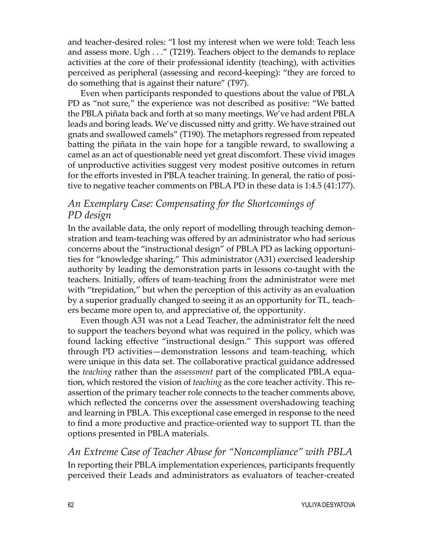and teacher-desired roles: "I lost my interest when we were told: Teach less and assess more. Ugh . . ." (T219). Teachers object to the demands to replace activities at the core of their professional identity (teaching), with activities perceived as peripheral (assessing and record-keeping): "they are forced to do something that is against their nature" (T97).

Even when participants responded to questions about the value of PBLA PD as "not sure," the experience was not described as positive: "We batted the PBLA piñata back and forth at so many meetings. We've had ardent PBLA leads and boring leads. We've discussed nitty and gritty. We have strained out gnats and swallowed camels" (T190). The metaphors regressed from repeated batting the piñata in the vain hope for a tangible reward, to swallowing a camel as an act of questionable need yet great discomfort. These vivid images of unproductive activities suggest very modest positive outcomes in return for the efforts invested in PBLA teacher training. In general, the ratio of positive to negative teacher comments on PBLA PD in these data is 1:4.5 (41:177).

#### *An Exemplary Case: Compensating for the Shortcomings of PD design*

In the available data, the only report of modelling through teaching demonstration and team-teaching was offered by an administrator who had serious concerns about the "instructional design" of PBLA PD as lacking opportunities for "knowledge sharing." This administrator (A31) exercised leadership authority by leading the demonstration parts in lessons co-taught with the teachers. Initially, offers of team-teaching from the administrator were met with "trepidation," but when the perception of this activity as an evaluation by a superior gradually changed to seeing it as an opportunity for TL, teachers became more open to, and appreciative of, the opportunity.

Even though A31 was not a Lead Teacher, the administrator felt the need to support the teachers beyond what was required in the policy, which was found lacking effective "instructional design." This support was offered through PD activities—demonstration lessons and team-teaching, which were unique in this data set. The collaborative practical guidance addressed the *teaching* rather than the *assessment* part of the complicated PBLA equation, which restored the vision of *teaching* as the core teacher activity. This reassertion of the primary teacher role connects to the teacher comments above, which reflected the concerns over the assessment overshadowing teaching and learning in PBLA. This exceptional case emerged in response to the need to find a more productive and practice-oriented way to support TL than the options presented in PBLA materials.

*An Extreme Case of Teacher Abuse for "Noncompliance" with PBLA*  In reporting their PBLA implementation experiences, participants frequently perceived their Leads and administrators as evaluators of teacher-created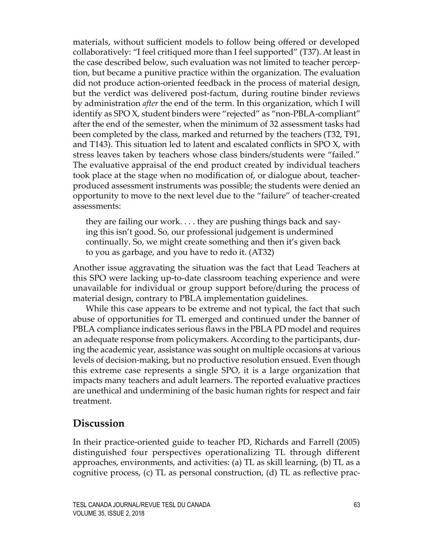materials, without sufficient models to follow being offered or developed collaboratively: "I feel critiqued more than I feel supported" (T37). At least in the case described below, such evaluation was not limited to teacher perception, but became a punitive practice within the organization. The evaluation did not produce action-oriented feedback in the process of material design, but the verdict was delivered post-factum, during routine binder reviews by administration *after* the end of the term. In this organization, which I will identify as SPO X, student binders were "rejected" as "non-PBLA-compliant" after the end of the semester, when the minimum of 32 assessment tasks had been completed by the class, marked and returned by the teachers (T32, T91, and T143). This situation led to latent and escalated conflicts in SPO  $X$ , with stress leaves taken by teachers whose class binders/students were "failed." The evaluative appraisal of the end product created by individual teachers took place at the stage when no modification of, or dialogue about, teacherproduced assessment instruments was possible; the students were denied an opportunity to move to the next level due to the "failure" of teacher-created assessments:

they are failing our work. . . . they are pushing things back and saying this isn't good. So, our professional judgement is undermined continually. So, we might create something and then it's given back to you as garbage, and you have to redo it. (AT32)

Another issue aggravating the situation was the fact that Lead Teachers at this SPO were lacking up-to-date classroom teaching experience and were unavailable for individual or group support before/during the process of material design, contrary to PBLA implementation guidelines.

While this case appears to be extreme and not typical, the fact that such abuse of opportunities for TL emerged and continued under the banner of PBLA compliance indicates serious flaws in the PBLA PD model and requires an adequate response from policymakers. According to the participants, during the academic year, assistance was sought on multiple occasions at various levels of decision-making, but no productive resolution ensued. Even though this extreme case represents a single SPO, it is a large organization that impacts many teachers and adult learners. The reported evaluative practices are unethical and undermining of the basic human rights for respect and fair treatment.

### **Discussion**

In their practice-oriented guide to teacher PD, Richards and Farrell (2005) distinguished four perspectives operationalizing TL through different approaches, environments, and activities: (a) TL as skill learning, (b) TL as a cognitive process, (c) TL as personal construction, (d) TL as reflective prac-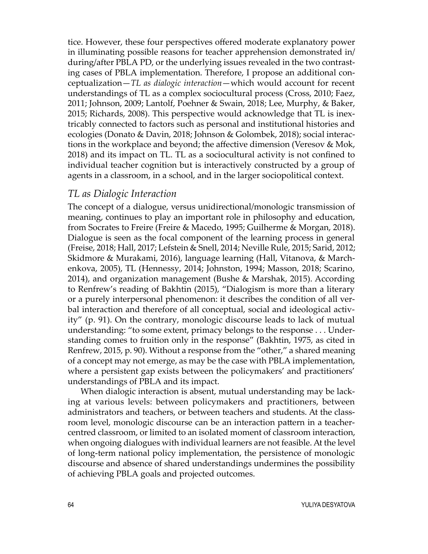tice. However, these four perspectives offered moderate explanatory power in illuminating possible reasons for teacher apprehension demonstrated in/ during/after PBLA PD, or the underlying issues revealed in the two contrasting cases of PBLA implementation. Therefore, I propose an additional conceptualization—*TL as dialogic interaction*—which would account for recent understandings of TL as a complex sociocultural process (Cross, 2010; Faez, 2011; Johnson, 2009; Lantolf, Poehner & Swain, 2018; Lee, Murphy, & Baker, 2015; Richards, 2008). This perspective would acknowledge that TL is inextricably connected to factors such as personal and institutional histories and ecologies (Donato & Davin, 2018; Johnson & Golombek, 2018); social interactions in the workplace and beyond; the affective dimension (Veresov & Mok, 2018) and its impact on TL. TL as a sociocultural activity is not confined to individual teacher cognition but is interactively constructed by a group of agents in a classroom, in a school, and in the larger sociopolitical context.

#### *TL as Dialogic Interaction*

The concept of a dialogue, versus unidirectional/monologic transmission of meaning, continues to play an important role in philosophy and education, from Socrates to Freire (Freire & Macedo, 1995; Guilherme & Morgan, 2018). Dialogue is seen as the focal component of the learning process in general (Freise, 2018; Hall, 2017; Lefstein & Snell, 2014; Neville Rule, 2015; Sarid, 2012; Skidmore & Murakami, 2016), language learning (Hall, Vitanova, & Marchenkova, 2005), TL (Hennessy, 2014; Johnston, 1994; Masson, 2018; Scarino, 2014), and organization management (Bushe & Marshak, 2015). According to Renfrew's reading of Bakhtin (2015), "Dialogism is more than a literary or a purely interpersonal phenomenon: it describes the condition of all verbal interaction and therefore of all conceptual, social and ideological activity" (p. 91). On the contrary, monologic discourse leads to lack of mutual understanding: "to some extent, primacy belongs to the response . . . Understanding comes to fruition only in the response" (Bakhtin, 1975, as cited in Renfrew, 2015, p. 90). Without a response from the "other," a shared meaning of a concept may not emerge, as may be the case with PBLA implementation, where a persistent gap exists between the policymakers' and practitioners' understandings of PBLA and its impact.

When dialogic interaction is absent, mutual understanding may be lacking at various levels: between policymakers and practitioners, between administrators and teachers, or between teachers and students. At the classroom level, monologic discourse can be an interaction pattern in a teachercentred classroom, or limited to an isolated moment of classroom interaction, when ongoing dialogues with individual learners are not feasible. At the level of long-term national policy implementation, the persistence of monologic discourse and absence of shared understandings undermines the possibility of achieving PBLA goals and projected outcomes.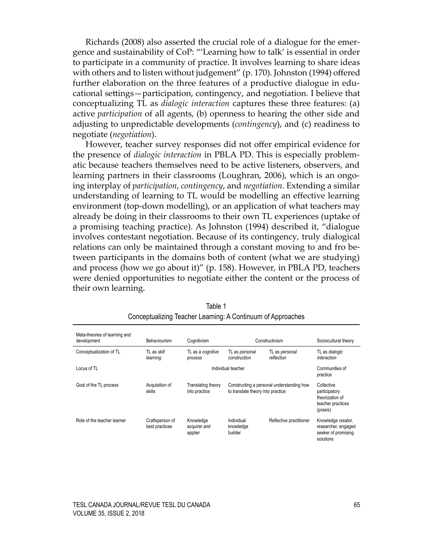Richards (2008) also asserted the crucial role of a dialogue for the emergence and sustainability of CoP: "'Learning how to talk' is essential in order to participate in a community of practice. It involves learning to share ideas with others and to listen without judgement" (p. 170). Johnston (1994) offered further elaboration on the three features of a productive dialogue in educational settings—participation, contingency, and negotiation. I believe that conceptualizing TL as *dialogic interaction* captures these three features: (a) active *participation* of all agents, (b) openness to hearing the other side and adjusting to unpredictable developments (*contingency*), and (c) readiness to negotiate (*negotiation*).

However, teacher survey responses did not offer empirical evidence for the presence of *dialogic interaction* in PBLA PD. This is especially problematic because teachers themselves need to be active listeners, observers, and learning partners in their classrooms (Loughran, 2006), which is an ongoing interplay of *participation*, *contingency*, and *negotiation*. Extending a similar understanding of learning to TL would be modelling an effective learning environment (top-down modelling), or an application of what teachers may already be doing in their classrooms to their own TL experiences (uptake of a promising teaching practice). As Johnston (1994) described it, "dialogue involves contestant negotiation. Because of its contingency, truly dialogical relations can only be maintained through a constant moving to and fro between participants in the domains both of content (what we are studying) and process (how we go about it)" (p. 158). However, in PBLA PD, teachers were denied opportunities to negotiate either the content or the process of their own learning.

| Meta-theories of learning and<br>development | Behaviourism                      | Cognitivism                          | Constructivism                                                                 |                              | Sociocultural theory                                                            |
|----------------------------------------------|-----------------------------------|--------------------------------------|--------------------------------------------------------------------------------|------------------------------|---------------------------------------------------------------------------------|
| Conceptualization of TL                      | TL as skill<br>learning           | TL as a cognitive<br>process         | TL as personal<br>construction                                                 | TL as personal<br>reflection | TL as dialogic<br>interaction                                                   |
| Locus of TL                                  |                                   | Communities of<br>practice           |                                                                                |                              |                                                                                 |
| Goal of the TL process                       | Acquisition of<br>skills          | Translating theory<br>into practice  | Constructing a personal understanding how<br>to translate theory into practice |                              | Collective<br>participatory<br>theorization of<br>teacher practices<br>(praxis) |
| Role of the teacher learner                  | Craftsperson of<br>best practices | Knowledge<br>acquirer and<br>applier | Individual<br>knowledge<br>builder                                             | Reflective practitioner      | Knowledge creator,<br>researcher, engaged<br>seeker of promising<br>solutions   |

Table 1 Conceptualizing Teacher Learning: A Continuum of Approaches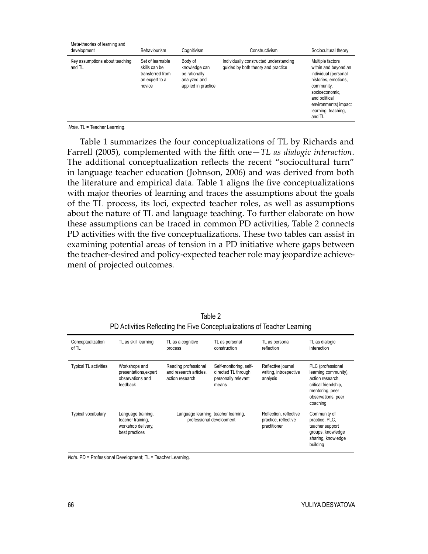| Meta-theories of learning and<br>development | Behaviourism                                                                      | Cognitivism                                                                      | Constructivism                                                               | Sociocultural theory                                                                                                                                                                               |
|----------------------------------------------|-----------------------------------------------------------------------------------|----------------------------------------------------------------------------------|------------------------------------------------------------------------------|----------------------------------------------------------------------------------------------------------------------------------------------------------------------------------------------------|
| Key assumptions about teaching<br>and TL     | Set of learnable<br>skills can be<br>transferred from<br>an expert to a<br>novice | Body of<br>knowledge can<br>be rationally<br>analyzed and<br>applied in practice | Individually constructed understanding<br>quided by both theory and practice | Multiple factors<br>within and beyond an<br>individual (personal<br>histories, emotions,<br>community,<br>socioeconomic.<br>and political<br>environments) impact<br>learning, teaching,<br>and TL |

 *Note.* TL = Teacher Learning.

Table 1 summarizes the four conceptualizations of TL by Richards and Farrell (2005), complemented with the fifth one—*TL* as dialogic interaction. The additional conceptualization reflects the recent "sociocultural turn" in language teacher education (Johnson, 2006) and was derived from both the literature and empirical data. Table 1 aligns the five conceptualizations with major theories of learning and traces the assumptions about the goals of the TL process, its loci, expected teacher roles, as well as assumptions about the nature of TL and language teaching. To further elaborate on how these assumptions can be traced in common PD activities, Table 2 connects PD activities with the five conceptualizations. These two tables can assist in examining potential areas of tension in a PD initiative where gaps between the teacher-desired and policy-expected teacher role may jeopardize achievement of projected outcomes.

| Conceptualization<br>of TL   | TL as skill learning                                                            | TL as a cognitive<br>process                                      | TL as personal<br>construction                                                | TL as personal<br>reflection                                   | TL as dialogic<br>interaction                                                                                                              |
|------------------------------|---------------------------------------------------------------------------------|-------------------------------------------------------------------|-------------------------------------------------------------------------------|----------------------------------------------------------------|--------------------------------------------------------------------------------------------------------------------------------------------|
| <b>Typical TL activities</b> | Workshops and<br>presentations, expert<br>observations and<br>feedback          | Reading professional<br>and research articles.<br>action research | Self-monitoring, self-<br>directed TL through<br>personally relevant<br>means | Reflective journal<br>writing, introspective<br>analysis       | PLC (professional<br>learning community).<br>action research.<br>critical friendship,<br>mentoring, peer<br>observations, peer<br>coaching |
| Typical vocabulary           | Language training,<br>teacher training,<br>workshop delivery.<br>best practices | Language learning, teacher learning,<br>professional development  |                                                                               | Reflection, reflective<br>practice, reflective<br>practitioner | Community of<br>practice, PLC,<br>teacher support<br>groups, knowledge<br>sharing, knowledge<br>building                                   |

Table 2 PD Activities Reflecting the Five Conceptualizations of Teacher Learning

*Note.* PD = Professional Development; TL = Teacher Learning.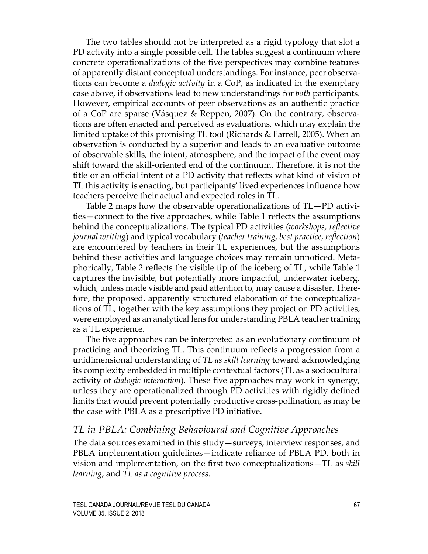The two tables should not be interpreted as a rigid typology that slot a PD activity into a single possible cell. The tables suggest a continuum where concrete operationalizations of the five perspectives may combine features of apparently distant conceptual understandings. For instance, peer observations can become a *dialogic activity* in a CoP, as indicated in the exemplary case above, if observations lead to new understandings for *both* participants. However, empirical accounts of peer observations as an authentic practice of a CoP are sparse (Vásquez & Reppen, 2007). On the contrary, observations are often enacted and perceived as evaluations, which may explain the limited uptake of this promising TL tool (Richards & Farrell, 2005). When an observation is conducted by a superior and leads to an evaluative outcome of observable skills, the intent, atmosphere, and the impact of the event may shift toward the skill-oriented end of the continuum. Therefore, it is not the title or an official intent of a PD activity that reflects what kind of vision of TL this activity is enacting, but participants' lived experiences influence how teachers perceive their actual and expected roles in TL.

Table 2 maps how the observable operationalizations of TL—PD activities—connect to the five approaches, while Table 1 reflects the assumptions behind the conceptualizations. The typical PD activities (*workshops*, *refl ective journal writing*) and typical vocabulary (*teacher training*, *best practice*, *refl ection*) are encountered by teachers in their TL experiences, but the assumptions behind these activities and language choices may remain unnoticed. Metaphorically, Table 2 reflects the visible tip of the iceberg of TL, while Table 1 captures the invisible, but potentially more impactful, underwater iceberg, which, unless made visible and paid attention to, may cause a disaster. Therefore, the proposed, apparently structured elaboration of the conceptualizations of TL, together with the key assumptions they project on PD activities, were employed as an analytical lens for understanding PBLA teacher training as a TL experience.

The five approaches can be interpreted as an evolutionary continuum of practicing and theorizing TL. This continuum reflects a progression from a unidimensional understanding of *TL as skill learning* toward acknowledging its complexity embedded in multiple contextual factors (TL as a sociocultural activity of *dialogic interaction*). These five approaches may work in synergy, unless they are operationalized through PD activities with rigidly defined limits that would prevent potentially productive cross-pollination, as may be the case with PBLA as a prescriptive PD initiative.

#### *TL in PBLA: Combining Behavioural and Cognitive Approaches*

The data sources examined in this study—surveys, interview responses, and PBLA implementation guidelines—indicate reliance of PBLA PD, both in vision and implementation, on the first two conceptualizations—TL as *skill learning*, and *TL as a cognitive process*.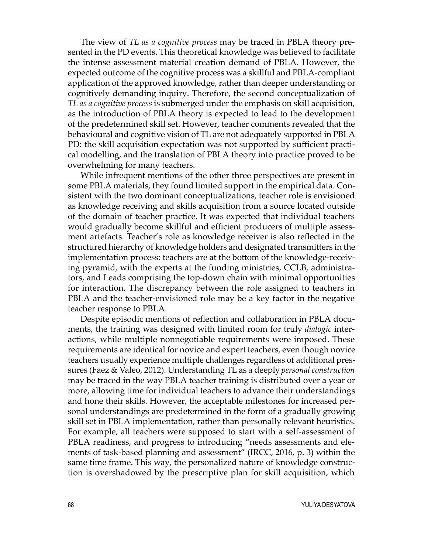The view of *TL as a cognitive process* may be traced in PBLA theory presented in the PD events. This theoretical knowledge was believed to facilitate the intense assessment material creation demand of PBLA. However, the expected outcome of the cognitive process was a skillful and PBLA-compliant application of the approved knowledge, rather than deeper understanding or cognitively demanding inquiry. Therefore, the second conceptualization of *TL as a cognitive process* is submerged under the emphasis on skill acquisition, as the introduction of PBLA theory is expected to lead to the development of the predetermined skill set. However, teacher comments revealed that the behavioural and cognitive vision of TL are not adequately supported in PBLA PD: the skill acquisition expectation was not supported by sufficient practical modelling, and the translation of PBLA theory into practice proved to be overwhelming for many teachers.

While infrequent mentions of the other three perspectives are present in some PBLA materials, they found limited support in the empirical data. Consistent with the two dominant conceptualizations, teacher role is envisioned as knowledge receiving and skills acquisition from a source located outside of the domain of teacher practice. It was expected that individual teachers would gradually become skillful and efficient producers of multiple assessment artefacts. Teacher's role as knowledge receiver is also reflected in the structured hierarchy of knowledge holders and designated transmitters in the implementation process: teachers are at the bottom of the knowledge-receiving pyramid, with the experts at the funding ministries, CCLB, administrators, and Leads comprising the top-down chain with minimal opportunities for interaction. The discrepancy between the role assigned to teachers in PBLA and the teacher-envisioned role may be a key factor in the negative teacher response to PBLA.

Despite episodic mentions of reflection and collaboration in PBLA documents, the training was designed with limited room for truly *dialogic* interactions, while multiple nonnegotiable requirements were imposed. These requirements are identical for novice and expert teachers, even though novice teachers usually experience multiple challenges regardless of additional pressures (Faez & Valeo, 2012). Understanding TL as a deeply *personal construction* may be traced in the way PBLA teacher training is distributed over a year or more, allowing time for individual teachers to advance their understandings and hone their skills. However, the acceptable milestones for increased personal understandings are predetermined in the form of a gradually growing skill set in PBLA implementation, rather than personally relevant heuristics. For example, all teachers were supposed to start with a self-assessment of PBLA readiness, and progress to introducing "needs assessments and elements of task-based planning and assessment" (IRCC, 2016, p. 3) within the same time frame. This way, the personalized nature of knowledge construction is overshadowed by the prescriptive plan for skill acquisition, which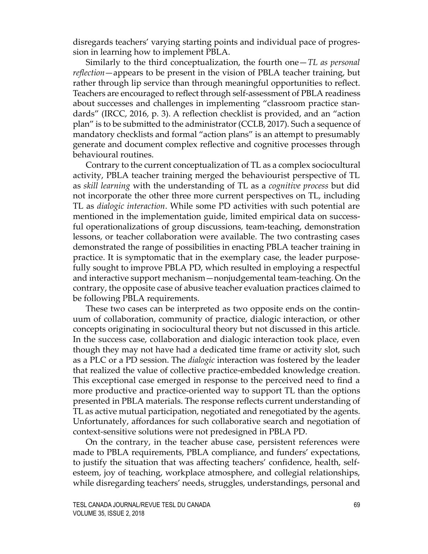disregards teachers' varying starting points and individual pace of progression in learning how to implement PBLA.

Similarly to the third conceptualization, the fourth one—*TL as personal reflection*—appears to be present in the vision of PBLA teacher training, but rather through lip service than through meaningful opportunities to reflect. Teachers are encouraged to reflect through self-assessment of PBLA readiness about successes and challenges in implementing "classroom practice standards" (IRCC, 2016, p. 3). A reflection checklist is provided, and an "action plan" is to be submitted to the administrator (CCLB, 2017). Such a sequence of mandatory checklists and formal "action plans" is an attempt to presumably generate and document complex reflective and cognitive processes through behavioural routines.

Contrary to the current conceptualization of TL as a complex sociocultural activity, PBLA teacher training merged the behaviourist perspective of TL as *skill learning* with the understanding of TL as a *cognitive process* but did not incorporate the other three more current perspectives on TL, including TL as *dialogic interaction*. While some PD activities with such potential are mentioned in the implementation guide, limited empirical data on successful operationalizations of group discussions, team-teaching, demonstration lessons, or teacher collaboration were available. The two contrasting cases demonstrated the range of possibilities in enacting PBLA teacher training in practice. It is symptomatic that in the exemplary case, the leader purposefully sought to improve PBLA PD, which resulted in employing a respectful and interactive support mechanism—nonjudgemental team-teaching. On the contrary, the opposite case of abusive teacher evaluation practices claimed to be following PBLA requirements.

These two cases can be interpreted as two opposite ends on the continuum of collaboration, community of practice, dialogic interaction, or other concepts originating in sociocultural theory but not discussed in this article. In the success case, collaboration and dialogic interaction took place, even though they may not have had a dedicated time frame or activity slot, such as a PLC or a PD session. The *dialogic* interaction was fostered by the leader that realized the value of collective practice-embedded knowledge creation. This exceptional case emerged in response to the perceived need to find a more productive and practice-oriented way to support TL than the options presented in PBLA materials. The response reflects current understanding of TL as active mutual participation, negotiated and renegotiated by the agents. Unfortunately, affordances for such collaborative search and negotiation of context-sensitive solutions were not predesigned in PBLA PD.

On the contrary, in the teacher abuse case, persistent references were made to PBLA requirements, PBLA compliance, and funders' expectations, to justify the situation that was affecting teachers' confidence, health, selfesteem, joy of teaching, workplace atmosphere, and collegial relationships, while disregarding teachers' needs, struggles, understandings, personal and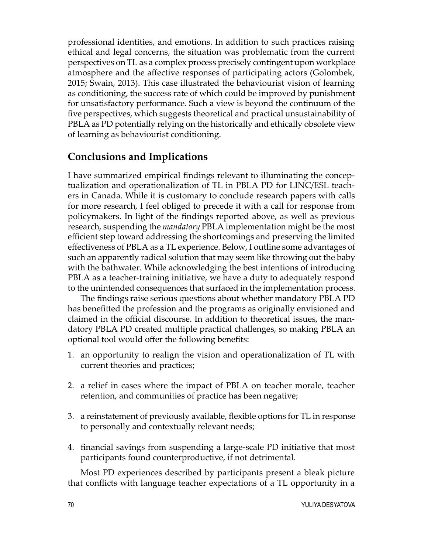professional identities, and emotions. In addition to such practices raising ethical and legal concerns, the situation was problematic from the current perspectives on TL as a complex process precisely contingent upon workplace atmosphere and the affective responses of participating actors (Golombek, 2015; Swain, 2013). This case illustrated the behaviourist vision of learning as conditioning, the success rate of which could be improved by punishment for unsatisfactory performance. Such a view is beyond the continuum of the five perspectives, which suggests theoretical and practical unsustainability of PBLA as PD potentially relying on the historically and ethically obsolete view of learning as behaviourist conditioning.

### **Conclusions and Implications**

I have summarized empirical findings relevant to illuminating the conceptualization and operationalization of TL in PBLA PD for LINC/ESL teachers in Canada. While it is customary to conclude research papers with calls for more research, I feel obliged to precede it with a call for response from policymakers. In light of the findings reported above, as well as previous research, suspending the *mandatory* PBLA implementation might be the most efficient step toward addressing the shortcomings and preserving the limited effectiveness of PBLA as a TL experience. Below, I outline some advantages of such an apparently radical solution that may seem like throwing out the baby with the bathwater. While acknowledging the best intentions of introducing PBLA as a teacher-training initiative, we have a duty to adequately respond to the unintended consequences that surfaced in the implementation process.

The findings raise serious questions about whether mandatory PBLA PD has benefitted the profession and the programs as originally envisioned and claimed in the official discourse. In addition to theoretical issues, the mandatory PBLA PD created multiple practical challenges, so making PBLA an optional tool would offer the following benefits:

- 1. an opportunity to realign the vision and operationalization of TL with current theories and practices;
- 2. a relief in cases where the impact of PBLA on teacher morale, teacher retention, and communities of practice has been negative;
- 3. a reinstatement of previously available, flexible options for TL in response to personally and contextually relevant needs;
- 4. financial savings from suspending a large-scale PD initiative that most participants found counterproductive, if not detrimental.

Most PD experiences described by participants present a bleak picture that conflicts with language teacher expectations of a TL opportunity in a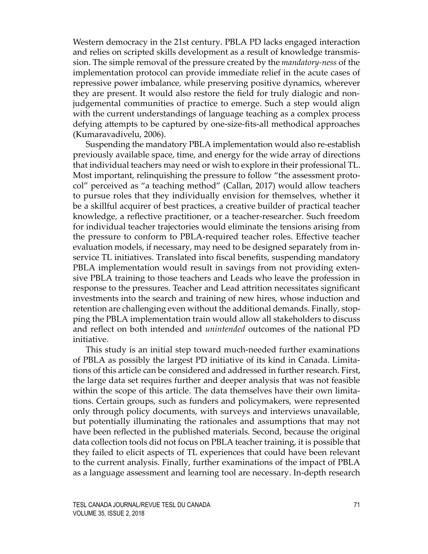Western democracy in the 21st century. PBLA PD lacks engaged interaction and relies on scripted skills development as a result of knowledge transmission. The simple removal of the pressure created by the *mandatory-ness* of the implementation protocol can provide immediate relief in the acute cases of repressive power imbalance, while preserving positive dynamics, wherever they are present. It would also restore the field for truly dialogic and nonjudgemental communities of practice to emerge. Such a step would align with the current understandings of language teaching as a complex process defying attempts to be captured by one-size-fits-all methodical approaches (Kumaravadivelu, 2006).

Suspending the mandatory PBLA implementation would also re-establish previously available space, time, and energy for the wide array of directions that individual teachers may need or wish to explore in their professional TL. Most important, relinquishing the pressure to follow "the assessment protocol" perceived as "a teaching method" (Callan, 2017) would allow teachers to pursue roles that they individually envision for themselves, whether it be a skillful acquirer of best practices, a creative builder of practical teacher knowledge, a reflective practitioner, or a teacher-researcher. Such freedom for individual teacher trajectories would eliminate the tensions arising from the pressure to conform to PBLA-required teacher roles. Effective teacher evaluation models, if necessary, may need to be designed separately from inservice TL initiatives. Translated into fiscal benefits, suspending mandatory PBLA implementation would result in savings from not providing extensive PBLA training to those teachers and Leads who leave the profession in response to the pressures. Teacher and Lead attrition necessitates significant investments into the search and training of new hires, whose induction and retention are challenging even without the additional demands. Finally, stopping the PBLA implementation train would allow all stakeholders to discuss and reflect on both intended and *unintended* outcomes of the national PD initiative.

This study is an initial step toward much-needed further examinations of PBLA as possibly the largest PD initiative of its kind in Canada. Limitations of this article can be considered and addressed in further research. First, the large data set requires further and deeper analysis that was not feasible within the scope of this article. The data themselves have their own limitations. Certain groups, such as funders and policymakers, were represented only through policy documents, with surveys and interviews unavailable, but potentially illuminating the rationales and assumptions that may not have been reflected in the published materials. Second, because the original data collection tools did not focus on PBLA teacher training, it is possible that they failed to elicit aspects of TL experiences that could have been relevant to the current analysis. Finally, further examinations of the impact of PBLA as a language assessment and learning tool are necessary. In-depth research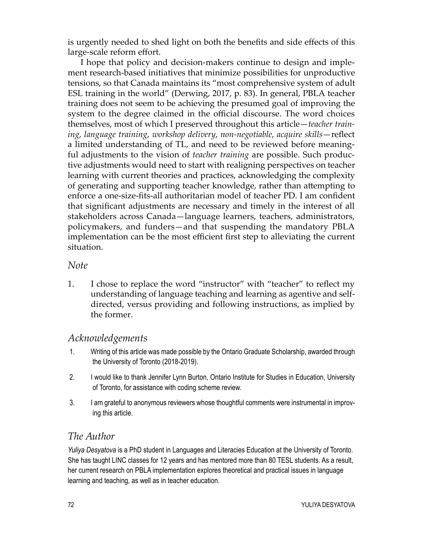is urgently needed to shed light on both the benefits and side effects of this large-scale reform effort.

I hope that policy and decision-makers continue to design and implement research-based initiatives that minimize possibilities for unproductive tensions, so that Canada maintains its "most comprehensive system of adult ESL training in the world" (Derwing, 2017, p. 83). In general, PBLA teacher training does not seem to be achieving the presumed goal of improving the system to the degree claimed in the official discourse. The word choices themselves, most of which I preserved throughout this article—*teacher training, language training, workshop delivery, non-negotiable, acquire skills*—reflect a limited understanding of TL, and need to be reviewed before meaningful adjustments to the vision of *teacher training* are possible. Such productive adjustments would need to start with realigning perspectives on teacher learning with current theories and practices, acknowledging the complexity of generating and supporting teacher knowledge, rather than attempting to enforce a one-size-fits-all authoritarian model of teacher PD. I am confident that significant adjustments are necessary and timely in the interest of all stakeholders across Canada—language learners, teachers, administrators, policymakers, and funders—and that suspending the mandatory PBLA implementation can be the most efficient first step to alleviating the current situation.

#### *Note*

1. I chose to replace the word "instructor" with "teacher" to reflect my understanding of language teaching and learning as agentive and selfdirected, versus providing and following instructions, as implied by the former.

### *Acknowledgements*

- 1. Writing of this article was made possible by the Ontario Graduate Scholarship, awarded through the University of Toronto (2018-2019).
- 2. I would like to thank Jennifer Lynn Burton, Ontario Institute for Studies in Education, University of Toronto, for assistance with coding scheme review.
- 3. I am grateful to anonymous reviewers whose thoughtful comments were instrumental in improving this article.

### *The Author*

*Yuliya Desyatova* is a PhD student in Languages and Literacies Education at the University of Toronto. She has taught LINC classes for 12 years and has mentored more than 80 TESL students. As a result, her current research on PBLA implementation explores theoretical and practical issues in language learning and teaching, as well as in teacher education.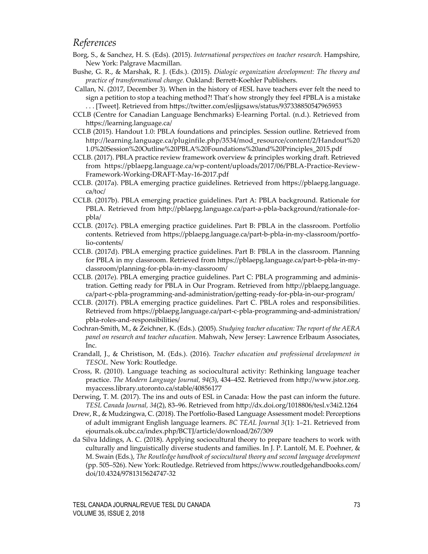#### *References*

- Borg, S., & Sanchez, H. S. (Eds). (2015). *International perspectives on teacher research.* Hampshire, New York: Palgrave Macmillan.
- Bushe, G. R., & Marshak, R. J. (Eds.). (2015). *Dialogic organization development: The theory and*  practice of transformational change. Oakland: Berrett-Koehler Publishers.
- Callan, N. (2017, December 3). When in the history of #ESL have teachers ever felt the need to sign a petition to stop a teaching method?! That's how strongly they feel #PBLA is a mistake ... [Tweet]. Retrieved from https://twitter.com/esljigsaws/status/937338850547965953
- CCLB (Centre for Canadian Language Benchmarks) E-learning Portal. (n.d.). Retrieved from https://learning.language.ca/
- CCLB (2015). Handout 1.0: PBLA foundations and principles. Session outline. Retrieved from http://learning.language.ca/pluginfile.php/3534/mod\_resource/content/2/Handout%20 1.0%20Session%20Outline%20PBLA%20Foundations%20and%20Principles\_2015.pdf
- CCLB. (2017). PBLA practice review framework overview & principles working draft. Retrieved from https://pblaepg.language.ca/wp-content/uploads/2017/06/PBLA-Practice-Review-Framework-Working-DRAFT-May-16-2017.pdf
- CCLB. (2017a). PBLA emerging practice guidelines. Retrieved from https://pblaepg.language. ca/toc/
- CCLB. (2017b). PBLA emerging practice guidelines. Part A: PBLA background. Rationale for PBLA. Retrieved from http://pblaepg.language.ca/part-a-pbla-background/rationale-forpbla/
- CCLB. (2017c). PBLA emerging practice guidelines. Part B: PBLA in the classroom. Portfolio contents. Retrieved from https://pblaepg.language.ca/part-b-pbla-in-my-classroom/portfolio-contents/
- CCLB. (2017d). PBLA emerging practice guidelines. Part B: PBLA in the classroom. Planning for PBLA in my classroom. Retrieved from https://pblaepg.language.ca/part-b-pbla-in-myclassroom/planning-for-pbla-in-my-classroom/
- CCLB. (2017e). PBLA emerging practice guidelines. Part C: PBLA programming and administration. Getting ready for PBLA in Our Program. Retrieved from http://pblaepg.language. ca/part-c-pbla-programming-and-administration/getting-ready-for-pbla-in-our-program/
- CCLB. (2017f). PBLA emerging practice guidelines. Part C. PBLA roles and responsibilities. Retrieved from https://pblaepg.language.ca/part-c-pbla-programming-and-administration/ pbla-roles-and-responsibilities/
- Cochran-Smith, M., & Zeichner, K. (Eds.). (2005). *Studying teacher education: The report of the AERA panel on research and teacher education.* Mahwah, New Jersey: Lawrence Erlbaum Associates, Inc.
- Crandall, J., & Christison, M. (Eds.). (2016). *Teacher education and professional development in TESOL.* New York: Routledge.
- Cross, R. (2010). Language teaching as sociocultural activity: Rethinking language teacher practice. *The Modern Language Journal, 94(3), 434–452*. Retrieved from http://www.jstor.org. myaccess.library.utoronto.ca/stable/40856177
- Derwing, T. M. (2017). The ins and outs of ESL in Canada: How the past can inform the future. *TESL Canada Journal, 34(2), 83–96. Retrieved from http://dx.doi.org/1018806/tesl.v34i2.1264*
- Drew, R., & Mudzingwa, C. (2018). The Portfolio-Based Language Assessment model: Perceptions of adult immigrant English language learners. *BC TEAL Journal 3*(1): 1–21. Retrieved from ejournals.ok.ubc.ca/index.php/BCTJ/article/download/267/309
- da Silva Iddings, A. C. (2018). Applying sociocultural theory to prepare teachers to work with culturally and linguistically diverse students and families. In J. P. Lantolf, M. E. Poehner, & M. Swain (Eds.), *The Routledge handbook of sociocultural theory and second language development* (pp. 505-526). New York: Routledge. Retrieved from https://www.routledgehandbooks.com/ doi/10.4324/9781315624747-32

TESL CANADA JOURNAL/REVUE TESL DU CANADA 73 VOLUME 35, ISSUE 2, 2018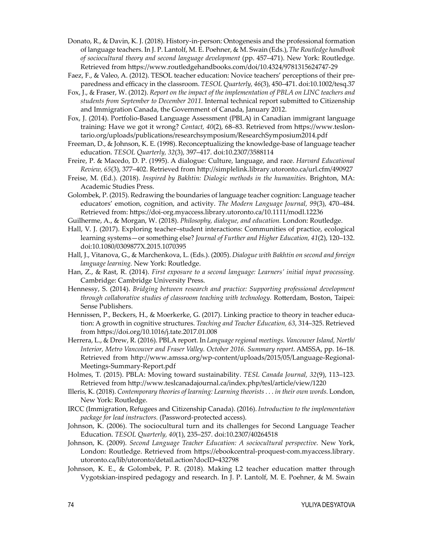- Donato, R., & Davin, K. J. (2018). History-in-person: Ontogenesis and the professional formation of language teachers. In J. P. Lantolf, M. E. Poehner, & M. Swain (Eds.), *The Routledge handbook of sociocultural theory and second language development* (pp. 457–471). New York: Routledge. Retrieved from https://www.routledgehandbooks.com/doi/10.4324/9781315624747-29
- Faez, F., & Valeo, A. (2012). TESOL teacher education: Novice teachers' perceptions of their preparedness and efficacy in the classroom. *TESOL Quarterly, 46*(3), 450–471. doi:10.1002/tesq.37
- Fox, J., & Fraser, W. (2012). *Report on the impact of the implementation of PBLA on LINC teachers and students from September to December 2011.* Internal technical report submitted to Citizenship and Immigration Canada, the Government of Canada, January 2012.
- Fox, J. (2014). Portfolio-Based Language Assessment (PBLA) in Canadian immigrant language training: Have we got it wrong? *Contact, 40*(2), 68–83. Retrieved from https://www.teslontario.org/uploads/publications/researchsymposium/ResearchSymposium2014.pdf
- Freeman, D., & Johnson, K. E. (1998). Reconceptualizing the knowledge-base of language teacher education. *TESOL Quarterly, 32*(3), 397–417. doi:10.2307/3588114
- Freire, P. & Macedo, D. P. (1995). A dialogue: Culture, language, and race. *Harvard Educational Review, 65(3), 377–402. Retrieved from http://simplelink.library.utoronto.ca/url.cfm/490927*
- Freise, M. (Ed.). (2018). *Inspired by Bakhtin: Dialogic methods in the humanities.* Brighton, MA: Academic Studies Press.
- Golombek, P. (2015). Redrawing the boundaries of language teacher cognition: Language teacher educators' emotion, cognition, and activity. *The Modern Language Journal, 99*(3), 470–484. Retrieved from: https://doi-org.myaccess.library.utoronto.ca/10.1111/modl.12236
- Guilherme, A., & Morgan, W. (2018). *Philosophy, dialogue, and education.* London: Routledge.
- Hall, V. J. (2017). Exploring teacher–student interactions: Communities of practice, ecological learning systems—or something else? *Journal of Further and Higher Education, 41*(2), 120–132. doi:10.1080/0309877X.2015.1070395
- Hall, J., Vitanova, G., & Marchenkova, L. (Eds.). (2005). *Dialogue with Bakhtin on second and foreign language learning.* New York: Routledge.
- Han, Z., & Rast, R. (2014). *First exposure to a second language: Learners' initial input processing.*  Cambridge: Cambridge University Press.
- Hennessy, S. (2014). *Bridging between research and practice: Supporting professional development through collaborative studies of classroom teaching with technology. Rotterdam, Boston, Taipei:* Sense Publishers.
- Hennissen, P., Beckers, H., & Moerkerke, G. (2017). Linking practice to theory in teacher education: A growth in cognitive structures. *Teaching and Teacher Education, 63*, 314–325. Retrieved from https://doi.org/10.1016/j.tate.2017.01.008
- Herrera, L., & Drew, R. (2016). PBLA report. In *Language regional meetings. Vancouver Island, North/ Interior, Metro Vancouver and Fraser Valley. October 2016. Summary report*. AMSSA, pp. 16–18. Retrieved from http://www.amssa.org/wp-content/uploads/2015/05/Language-Regional-Meetings-Summary-Report.pdf
- Holmes, T. (2015). PBLA: Moving toward sustainability. *TESL Canada Journal, 32*(9), 113–123. Retrieved from http://www.teslcanadajournal.ca/index.php/tesl/article/view/1220
- Illeris, K. (2018). *Contemporary theories of learning: Learning theorists . . . in their own words.* London, New York: Routledge.
- IRCC (Immigration, Refugees and Citizenship Canada). (2016). *Introduction to the implementation package for lead instructors.* (Password-protected access).
- Johnson, K. (2006). The sociocultural turn and its challenges for Second Language Teacher Education. *TESOL Quarterly, 40*(1), 235–257. doi:10.2307/40264518
- Johnson, K. (2009). *Second Language Teacher Education: A sociocultural perspective.* New York, London: Routledge. Retrieved from https://ebookcentral-proquest-com.myaccess.library. utoronto.ca/lib/utoronto/detail.action?docID=432798
- Johnson, K. E., & Golombek, P. R. (2018). Making L2 teacher education matter through Vygotskian-inspired pedagogy and research. In J. P. Lantolf, M. E. Poehner, & M. Swain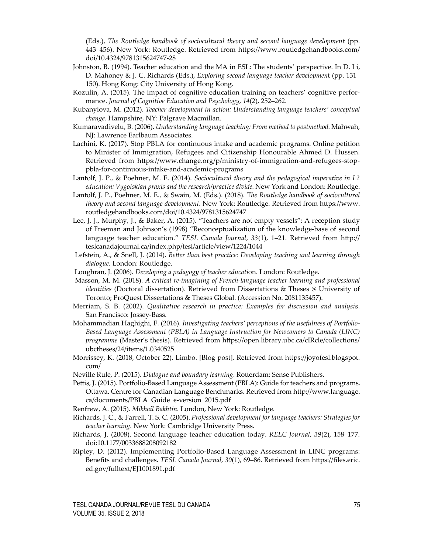(Eds.), *The Routledge handbook of sociocultural theory and second language development* (pp. 443-456). New York: Routledge. Retrieved from https://www.routledgehandbooks.com/ doi/10.4324/9781315624747-28

- Johnston, B. (1994). Teacher education and the MA in ESL: The students' perspective. In D. Li, D. Mahoney & J. C. Richards (Eds.), *Exploring second language teacher developmen*t (pp. 131– 150). Hong Kong: City University of Hong Kong.
- Kozulin, A. (2015). The impact of cognitive education training on teachers' cognitive performance. *Journal of Cognitive Education and Psychology, 14*(2), 252–262.
- Kubanyiova, M. (2012). *Teacher development in action: Understanding language teachers' conceptual change.* Hampshire, NY: Palgrave Macmillan.
- Kumaravadivelu, B. (2006). *Understanding language teaching: From method to postmethod*. Mahwah, NJ: Lawrence Earlbaum Associates.
- Lachini, K. (2017). Stop PBLA for continuous intake and academic programs. Online petition to Minister of Immigration, Refugees and Citizenship Honourable Ahmed D. Hussen. Retrieved from https://www.change.org/p/ministry-of-immigration-and-refugees-stoppbla-for-continuous-intake-and-academic-programs
- Lantolf, J. P., & Poehner, M. E. (2014). *Sociocultural theory and the pedagogical imperative in L2 education: Vygotskian praxis and the research/practice divide.* New York and London: Routledge.
- Lantolf, J. P., Poehner, M. E., & Swain, M. (Eds.). (2018). T*he Routledge handbook of sociocultural*  theory and second language development. New York: Routledge. Retrieved from https://www. routledgehandbooks.com/doi/10.4324/9781315624747
- Lee, J. J., Murphy, J., & Baker, A. (2015). "Teachers are not empty vessels": A reception study of Freeman and Johnson's (1998) "Reconceptualization of the knowledge-base of second language teacher education." *TESL Canada Journal, 33*(1), 1-21. Retrieved from http:// teslcanadajournal.ca/index.php/tesl/article/view/1224/1044
- Lefstein, A., & Snell, J. (2014). *Better than best practice: Developing teaching and learning through dialogue*. London: Routledge.
- Loughran, J. (2006). *Developing a pedagogy of teacher educati*on. London: Routledge.
- Masson, M. M. (2018). *A critical re-imagining of French-language teacher learning and professional identities* (Doctoral dissertation). Retrieved from Dissertations & Theses @ University of Toronto; ProQuest Dissertations & Theses Global. (Accession No. 2081135457).
- Merriam, S. B. (2002). *Qualitative research in practice: Examples for discussion and analysi*s. San Francisco: Jossey-Bass.
- Mohammadian Haghighi, F. (2016). *Investigating teachers' perceptions of the usefulness of Portfolio-Based Language Assessment (PBLA) in Language Instruction for Newcomers to Canada (LINC) programme* (Master's thesis). Retrieved from https://open.library.ubc.ca/cIRcle/collections/ ubctheses/24/items/1.0340525
- Morrissey, K. (2018, October 22). Limbo. [Blog post]. Retrieved from https://joyofesl.blogspot. com/
- Neville Rule, P. (2015). *Dialogue and boundary learning*. Rotterdam: Sense Publishers.
- Pettis, J. (2015). Portfolio-Based Language Assessment (PBLA): Guide for teachers and programs. Ottawa. Centre for Canadian Language Benchmarks. Retrieved from http://www.language. ca/documents/PBLA\_Guide\_e-version\_2015.pdf
- Renfrew, A. (2015). *Mikhail Bakhtin.* London, New York: Routledge.
- Richards, J. C., & Farrell, T. S. C. (2005). *Professional development for language teachers: Strategies for teacher learning.* New York: Cambridge University Press.
- Richards, J. (2008). Second language teacher education today. *RELC Journal, 39*(2), 158–177. doi:10.1177/0033688208092182
- Ripley, D. (2012). Implementing Portfolio-Based Language Assessment in LINC programs: Benefits and challenges. *TESL Canada Journal*, 30(1), 69-86. Retrieved from https://files.eric. ed.gov/fulltext/EJ1001891.pdf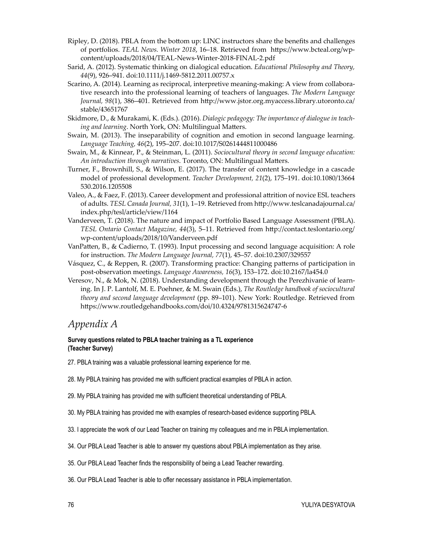- Ripley, D. (2018). PBLA from the bottom up: LINC instructors share the benefits and challenges of portfolios. *TEAL News. Winter 2018*, 16–18. Retrieved from https://www.bcteal.org/wpcontent/uploads/2018/04/TEAL-News-Winter-2018-FINAL-2.pdf
- Sarid, A. (2012). Systematic thinking on dialogical education. *Educational Philosophy and Theory, 44*(9), 926–941. doi:10.1111/j.1469-5812.2011.00757.x
- Scarino, A. (2014). Learning as reciprocal, interpretive meaning-making: A view from collaborative research into the professional learning of teachers of languages. *The Modern Language Journal, 98*(1), 386–401. Retrieved from http://www.jstor.org.myaccess.library.utoronto.ca/ stable/43651767
- Skidmore, D., & Murakami, K. (Eds.). (2016). *Dialogic pedagogy: The importance of dialogue in teaching and learning*. North York, ON: Multilingual Matters.
- Swain, M. (2013). The inseparability of cognition and emotion in second language learning. *Language Teaching, 46*(2), 195–207. doi:10.1017/S0261444811000486
- Swain, M., & Kinnear, P., & Steinman, L. (2011). *Sociocultural theory in second language education:*  An introduction through narratives. Toronto, ON: Multilingual Matters.
- Turner, F., Brownhill, S., & Wilson, E. (2017). The transfer of content knowledge in a cascade model of professional development. *Teacher Development, 21*(2), 175–191. doi:10.1080/13664 530.2016.1205508
- Valeo, A., & Faez, F. (2013). Career development and professional attrition of novice ESL teachers of adults. *TESL Canada Journal*, 31(1), 1-19. Retrieved from http://www.teslcanadajournal.ca/ index.php/tesl/article/view/1164
- Vanderveen, T. (2018). The nature and impact of Portfolio Based Language Assessment (PBLA). *TESL Ontario Contact Magazine, 44(3), 5*–11. Retrieved from http://contact.teslontario.org/ wp-content/uploads/2018/10/Vanderveen.pdf
- VanPatten, B., & Cadierno, T. (1993). Input processing and second language acquisition: A role for instruction. *The Modern Language Journal, 77*(1), 45–57. doi:10.2307/329557
- Vásquez, C., & Reppen, R. (2007). Transforming practice: Changing patterns of participation in post-observation meetings. *Language Awareness, 16*(3), 153–172. doi:10.2167/la454.0
- Veresov, N., & Mok, N. (2018). Understanding development through the Perezhivanie of learning. In J. P. Lantolf, M. E. Poehner, & M. Swain (Eds.), *The Routledge handbook of sociocultural theory and second language development* (pp. 89–101). New York: Routledge. Retrieved from https://www.routledgehandbooks.com/doi/10.4324/9781315624747-6

#### *Appendix A*

#### **Survey questions related to PBLA teacher training as a TL experience (Teacher Survey)**

- 27. PBLA training was a valuable professional learning experience for me.
- 28. My PBLA training has provided me with sufficient practical examples of PBLA in action.
- 29. My PBLA training has provided me with sufficient theoretical understanding of PBLA.
- 30. My PBLA training has provided me with examples of research-based evidence supporting PBLA.
- 33. I appreciate the work of our Lead Teacher on training my colleagues and me in PBLA implementation.
- 34. Our PBLA Lead Teacher is able to answer my questions about PBLA implementation as they arise.
- 35. Our PBLA Lead Teacher finds the responsibility of being a Lead Teacher rewarding.
- 36. Our PBLA Lead Teacher is able to offer necessary assistance in PBLA implementation.